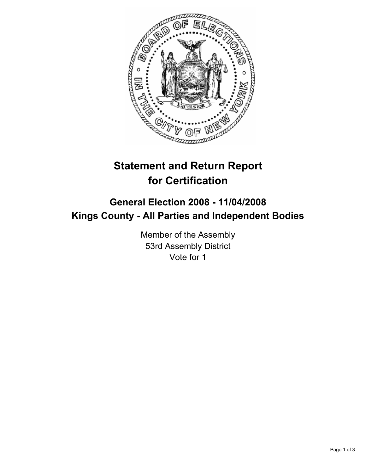

# **Statement and Return Report for Certification**

## **General Election 2008 - 11/04/2008 Kings County - All Parties and Independent Bodies**

Member of the Assembly 53rd Assembly District Vote for 1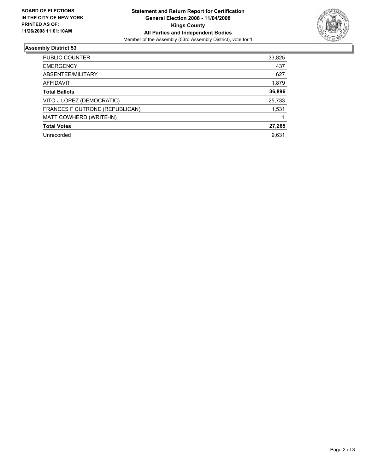

#### **Assembly District 53**

| PUBLIC COUNTER                 | 33,825 |
|--------------------------------|--------|
| <b>EMERGENCY</b>               | 437    |
| ABSENTEE/MILITARY              | 627    |
| AFFIDAVIT                      | 1,879  |
| <b>Total Ballots</b>           | 36,896 |
| VITO J LOPEZ (DEMOCRATIC)      | 25,733 |
| FRANCES F CUTRONE (REPUBLICAN) | 1,531  |
| MATT COWHERD (WRITE-IN)        |        |
| <b>Total Votes</b>             | 27,265 |
| Unrecorded                     | 9,631  |
|                                |        |